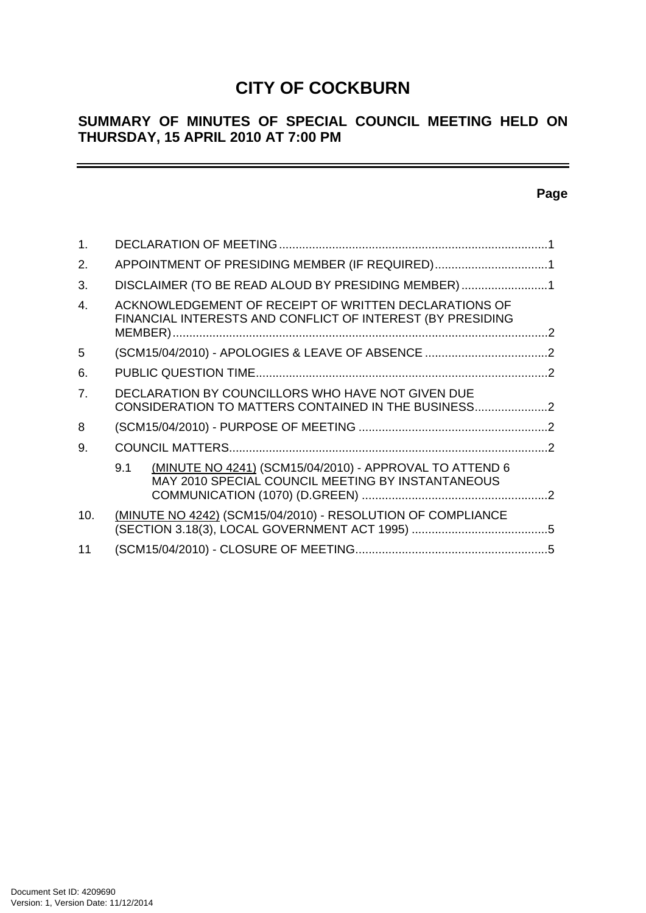# **CITY OF COCKBURN**

# **SUMMARY OF MINUTES OF SPECIAL COUNCIL MEETING HELD ON THURSDAY, 15 APRIL 2010 AT 7:00 PM**

# **Page**

| 1.             |                                                                                                                     |  |  |
|----------------|---------------------------------------------------------------------------------------------------------------------|--|--|
| 2.             | APPOINTMENT OF PRESIDING MEMBER (IF REQUIRED)1                                                                      |  |  |
| 3.             | DISCLAIMER (TO BE READ ALOUD BY PRESIDING MEMBER)1                                                                  |  |  |
| $\mathbf{4}$ . | ACKNOWLEDGEMENT OF RECEIPT OF WRITTEN DECLARATIONS OF<br>FINANCIAL INTERESTS AND CONFLICT OF INTEREST (BY PRESIDING |  |  |
| 5              | (SCM15/04/2010) - APOLOGIES & LEAVE OF ABSENCE 2                                                                    |  |  |
| 6.             |                                                                                                                     |  |  |
| 7 <sub>1</sub> | DECLARATION BY COUNCILLORS WHO HAVE NOT GIVEN DUE<br>CONSIDERATION TO MATTERS CONTAINED IN THE BUSINESS2            |  |  |
| 8              |                                                                                                                     |  |  |
| 9.             |                                                                                                                     |  |  |
|                | (MINUTE NO 4241) (SCM15/04/2010) - APPROVAL TO ATTEND 6<br>9.1<br>MAY 2010 SPECIAL COUNCIL MEETING BY INSTANTANEOUS |  |  |
| 10.            | (MINUTE NO 4242) (SCM15/04/2010) - RESOLUTION OF COMPLIANCE                                                         |  |  |
| 11             |                                                                                                                     |  |  |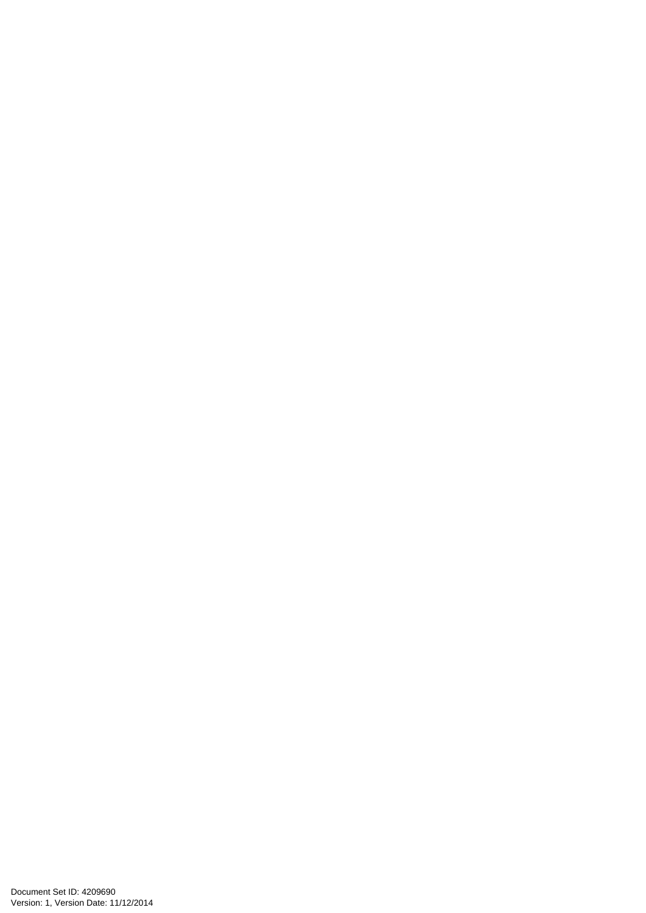Document Set ID: 4209690<br>Version: 1, Version Date: 11/12/2014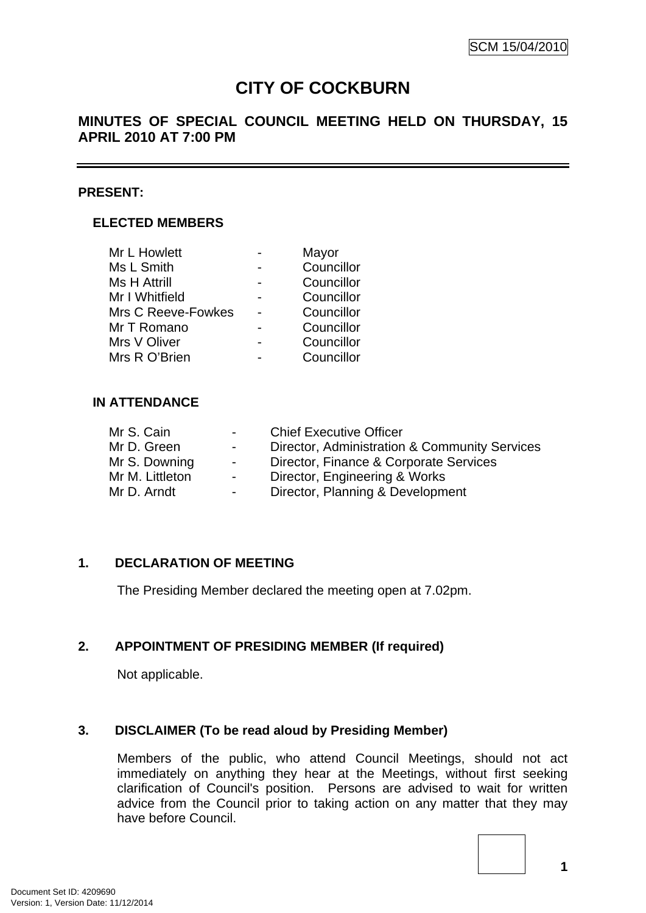# **CITY OF COCKBURN**

# <span id="page-2-0"></span>**MINUTES OF SPECIAL COUNCIL MEETING HELD ON THURSDAY, 15 APRIL 2010 AT 7:00 PM**

#### **PRESENT:**

## **ELECTED MEMBERS**

| Mayor      |
|------------|
| Councillor |
| Councillor |
| Councillor |
| Councillor |
| Councillor |
| Councillor |
| Councillor |
|            |

#### **IN ATTENDANCE**

| Mr S. Cain      | $\sim$ 100 $\mu$ | <b>Chief Executive Officer</b>                |
|-----------------|------------------|-----------------------------------------------|
| Mr D. Green     | $\blacksquare$   | Director, Administration & Community Services |
| Mr S. Downing   | $\sim$ 10 $\pm$  | Director, Finance & Corporate Services        |
| Mr M. Littleton | $\sim$ 100 $\mu$ | Director, Engineering & Works                 |
| Mr D. Arndt     | $\sim$           | Director, Planning & Development              |

#### **1. DECLARATION OF MEETING**

The Presiding Member declared the meeting open at 7.02pm.

# **2. APPOINTMENT OF PRESIDING MEMBER (If required)**

Not applicable.

# **3. DISCLAIMER (To be read aloud by Presiding Member)**

Members of the public, who attend Council Meetings, should not act immediately on anything they hear at the Meetings, without first seeking clarification of Council's position. Persons are advised to wait for written advice from the Council prior to taking action on any matter that they may have before Council.

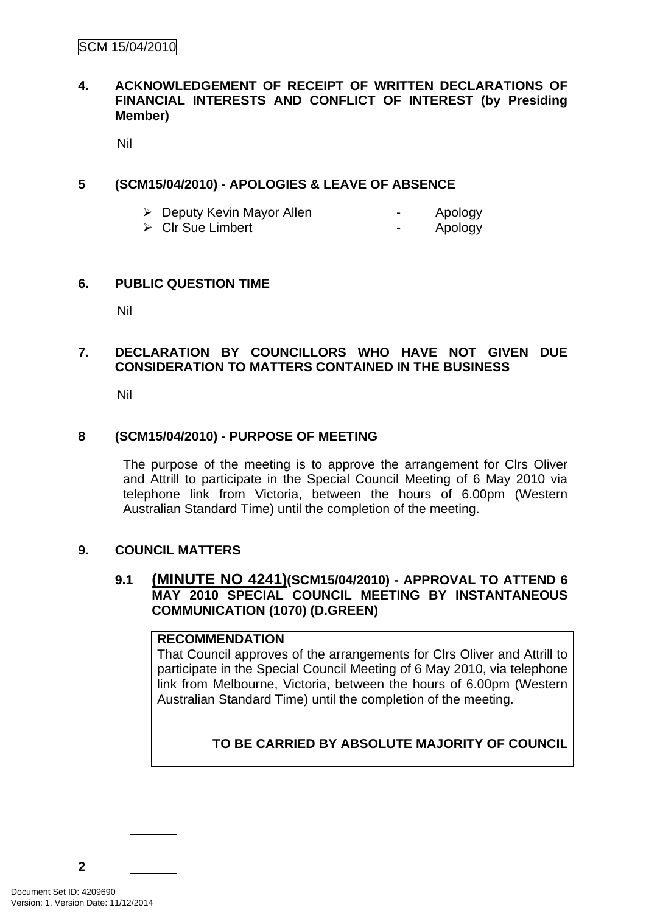## <span id="page-3-0"></span>**4. ACKNOWLEDGEMENT OF RECEIPT OF WRITTEN DECLARATIONS OF FINANCIAL INTERESTS AND CONFLICT OF INTEREST (by Presiding Member)**

Nil

## **5 (SCM15/04/2010) - APOLOGIES & LEAVE OF ABSENCE**

- ¾ Deputy Kevin Mayor Allen Apology
- > CIr Sue Limbert Apology

## **6. PUBLIC QUESTION TIME**

Nil

## **7. DECLARATION BY COUNCILLORS WHO HAVE NOT GIVEN DUE CONSIDERATION TO MATTERS CONTAINED IN THE BUSINESS**

Nil

## **8 (SCM15/04/2010) - PURPOSE OF MEETING**

The purpose of the meeting is to approve the arrangement for Clrs Oliver and Attrill to participate in the Special Council Meeting of 6 May 2010 via telephone link from Victoria, between the hours of 6.00pm (Western Australian Standard Time) until the completion of the meeting.

#### **9. COUNCIL MATTERS**

## **9.1 (MINUTE NO 4241)(SCM15/04/2010) - APPROVAL TO ATTEND 6 MAY 2010 SPECIAL COUNCIL MEETING BY INSTANTANEOUS COMMUNICATION (1070) (D.GREEN)**

#### **RECOMMENDATION**

That Council approves of the arrangements for Clrs Oliver and Attrill to participate in the Special Council Meeting of 6 May 2010, via telephone link from Melbourne, Victoria, between the hours of 6.00pm (Western Australian Standard Time) until the completion of the meeting.

# **TO BE CARRIED BY ABSOLUTE MAJORITY OF COUNCIL**

**2**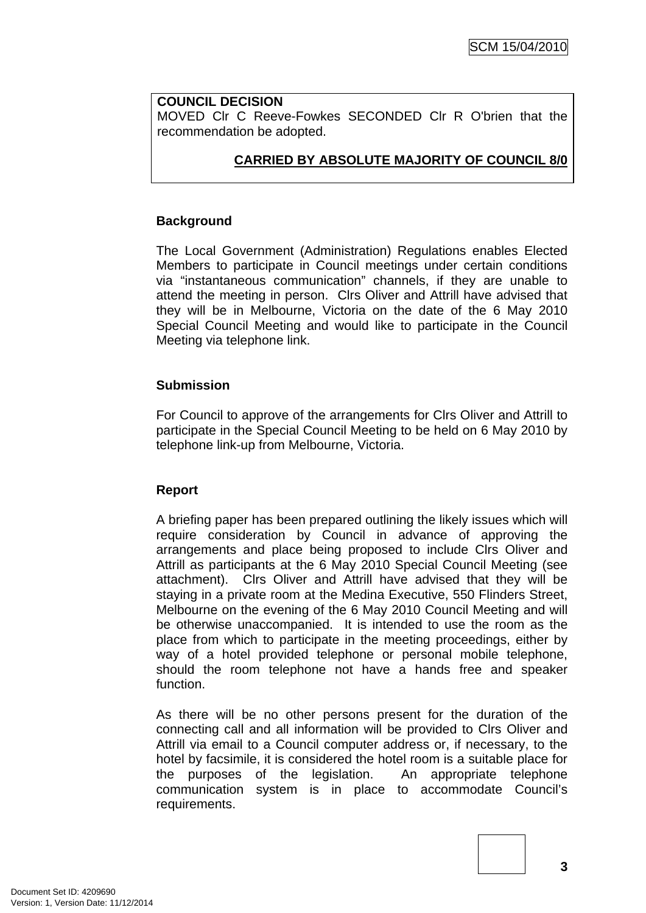#### **COUNCIL DECISION**

MOVED Clr C Reeve-Fowkes SECONDED Clr R O'brien that the recommendation be adopted.

## **CARRIED BY ABSOLUTE MAJORITY OF COUNCIL 8/0**

#### **Background**

The Local Government (Administration) Regulations enables Elected Members to participate in Council meetings under certain conditions via "instantaneous communication" channels, if they are unable to attend the meeting in person. Clrs Oliver and Attrill have advised that they will be in Melbourne, Victoria on the date of the 6 May 2010 Special Council Meeting and would like to participate in the Council Meeting via telephone link.

#### **Submission**

For Council to approve of the arrangements for Clrs Oliver and Attrill to participate in the Special Council Meeting to be held on 6 May 2010 by telephone link-up from Melbourne, Victoria.

#### **Report**

A briefing paper has been prepared outlining the likely issues which will require consideration by Council in advance of approving the arrangements and place being proposed to include Clrs Oliver and Attrill as participants at the 6 May 2010 Special Council Meeting (see attachment). Clrs Oliver and Attrill have advised that they will be staying in a private room at the Medina Executive, 550 Flinders Street, Melbourne on the evening of the 6 May 2010 Council Meeting and will be otherwise unaccompanied. It is intended to use the room as the place from which to participate in the meeting proceedings, either by way of a hotel provided telephone or personal mobile telephone, should the room telephone not have a hands free and speaker function.

As there will be no other persons present for the duration of the connecting call and all information will be provided to Clrs Oliver and Attrill via email to a Council computer address or, if necessary, to the hotel by facsimile, it is considered the hotel room is a suitable place for the purposes of the legislation. An appropriate telephone communication system is in place to accommodate Council's requirements.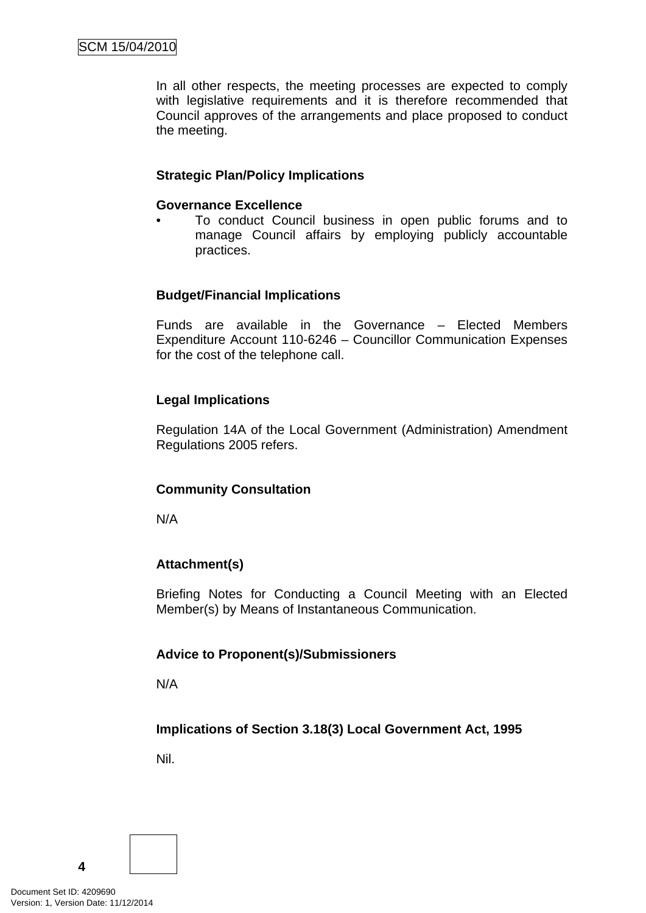In all other respects, the meeting processes are expected to comply with legislative requirements and it is therefore recommended that Council approves of the arrangements and place proposed to conduct the meeting.

#### **Strategic Plan/Policy Implications**

#### **Governance Excellence**

• To conduct Council business in open public forums and to manage Council affairs by employing publicly accountable practices.

#### **Budget/Financial Implications**

Funds are available in the Governance – Elected Members Expenditure Account 110-6246 – Councillor Communication Expenses for the cost of the telephone call.

#### **Legal Implications**

Regulation 14A of the Local Government (Administration) Amendment Regulations 2005 refers.

#### **Community Consultation**

N/A

#### **Attachment(s)**

Briefing Notes for Conducting a Council Meeting with an Elected Member(s) by Means of Instantaneous Communication.

#### **Advice to Proponent(s)/Submissioners**

N/A

#### **Implications of Section 3.18(3) Local Government Act, 1995**

Nil.

**4**